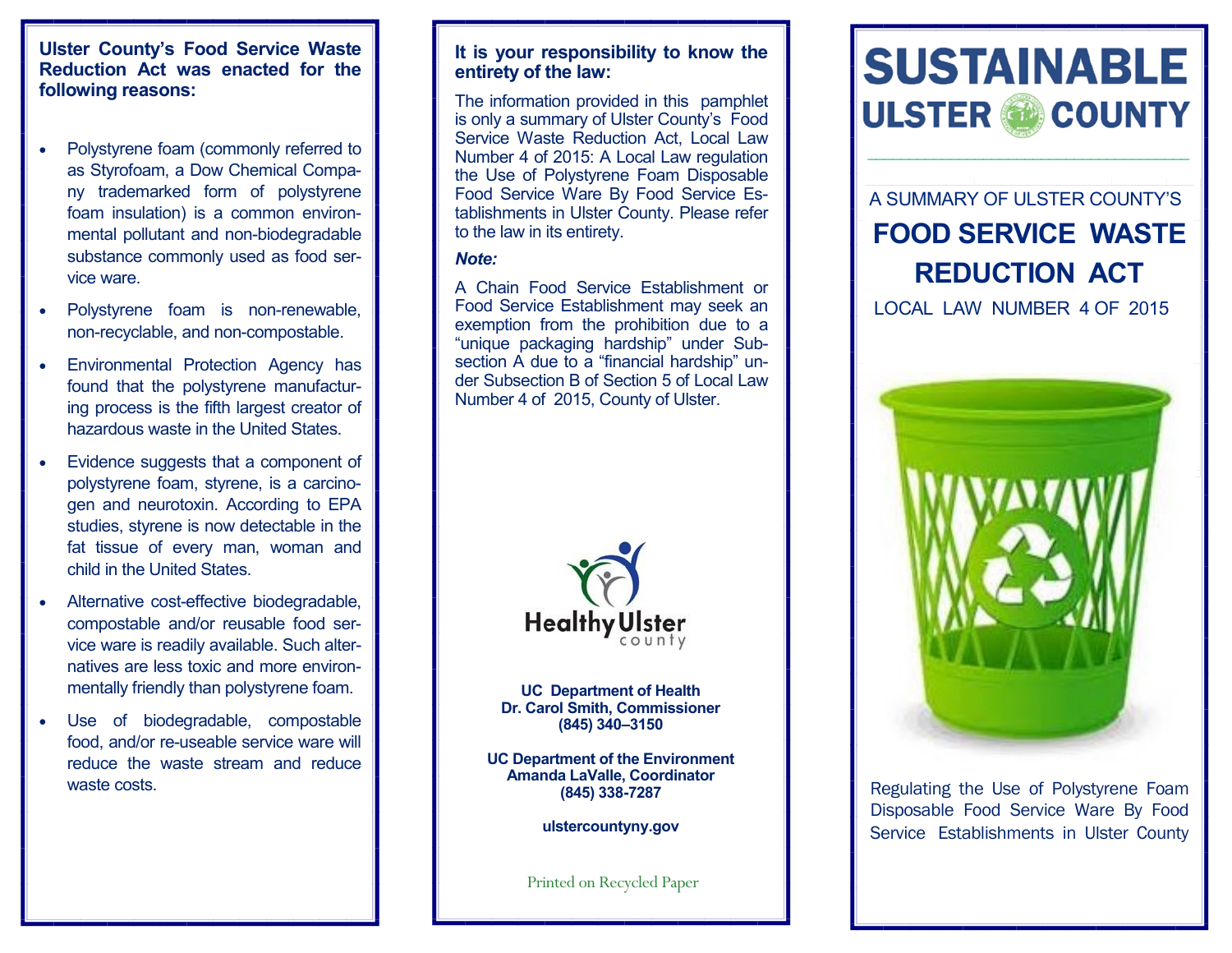#### **Ulster County's Food Service Waste Reduction Act was enacted for the following reasons:**

- Polystyrene foam (commonly referred to as Styrofoam, a Dow Chemical Company trademarked form of polystyrene foam insulation) is a common environmental pollutant and non-biodegradable substance commonly used as food service ware.
- Polystyrene foam is non-renewable, non-recyclable, and non-compostable.
- Environmental Protection Agency has found that the polystyrene manufacturing process is the fifth largest creator of hazardous waste in the United States.
- Evidence suggests that a component of polystyrene foam, styrene, is a carcinogen and neurotoxin. According to EPA studies, styrene is now detectable in the fat tissue of every man, woman and child in the United States.
- Alternative cost-effective biodegradable, compostable and/or reusable food service ware is readily available. Such alternatives are less toxic and more environmentally friendly than polystyrene foam.
- Use of biodegradable, compostable food, and/or re-useable service ware will reduce the waste stream and reduce waste costs.

#### **It is your responsibility to know the entirety of the law:**

The information provided in this pamphlet is only a summary of Ulster County's Food Service Waste Reduction Act, Local Law Number 4 of 2015: A Local Law regulation the Use of Polystyrene Foam Disposable Food Service Ware By Food Service Establishments in Ulster County. Please refer to the law in its entirety.

#### *Note:*

A Chain Food Service Establishment or Food Service Establishment may seek an exemption from the prohibition due to a "unique packaging hardship" under Subsection A due to a "financial hardship" under Subsection B of Section 5 of Local Law Number 4 of 2015, County of Ulster.



**UC Department of Health Dr. Carol Smith, Commissioner (845) 340–3150** 

**UC Department of the Environment Amanda LaValle, Coordinator (845) 338-7287** 

**ulstercountyny.gov**

Printed on Recycled Paper



\_\_\_\_\_\_\_\_\_\_\_\_\_\_\_\_\_\_\_\_\_\_\_\_\_\_\_\_\_\_\_\_\_\_\_\_\_\_\_

A SUMMARY OF ULSTER COUNTY'S **FOOD SERVICE WASTE REDUCTION ACT**

LOCAL LAW NUMBER 4 OF 2015



Regulating the Use of Polystyrene Foam Disposable Food Service Ware By Food Service Establishments in Ulster County